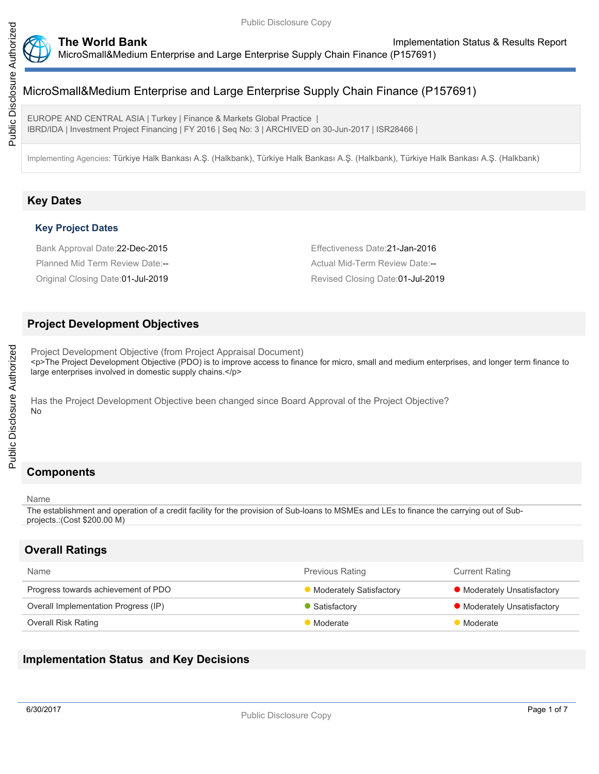

EUROPE AND CENTRAL ASIA | Turkey | Finance & Markets Global Practice | IBRD/IDA | Investment Project Financing | FY 2016 | Seq No: 3 | ARCHIVED on 30-Jun-2017 | ISR28466 |

Implementing Agencies: Türkiye Halk Bankası A.Ş. (Halkbank), Türkiye Halk Bankası A.Ş. (Halkbank), Türkiye Halk Bankası A.Ş. (Halkbank)

# **Key Dates**

#### **Key Project Dates**

Bank Approval Date:22-Dec-2015 Effectiveness Date:21-Jan-2016

Planned Mid Term Review Date:-- Actual Mid-Term Review Date:--Original Closing Date:01-Jul-2019 Revised Closing Date:01-Jul-2019

### **Project Development Objectives**

Project Development Objective (from Project Appraisal Document) <p>The Project Development Objective (PDO) is to improve access to finance for micro, small and medium enterprises, and longer term finance to large enterprises involved in domestic supply chains.</p>

Has the Project Development Objective been changed since Board Approval of the Project Objective? No

# **Components**

#### Name

The establishment and operation of a credit facility for the provision of Sub-loans to MSMEs and LEs to finance the carrying out of Subprojects.:(Cost \$200.00 M)

# **Overall Ratings**

| <b>Name</b>                          | <b>Previous Rating</b>         | <b>Current Rating</b>       |
|--------------------------------------|--------------------------------|-----------------------------|
| Progress towards achievement of PDO  | <b>Moderately Satisfactory</b> | • Moderately Unsatisfactory |
| Overall Implementation Progress (IP) | Satisfactory                   | • Moderately Unsatisfactory |
| Overall Risk Rating                  | Moderate                       | Moderate                    |

# **Implementation Status and Key Decisions**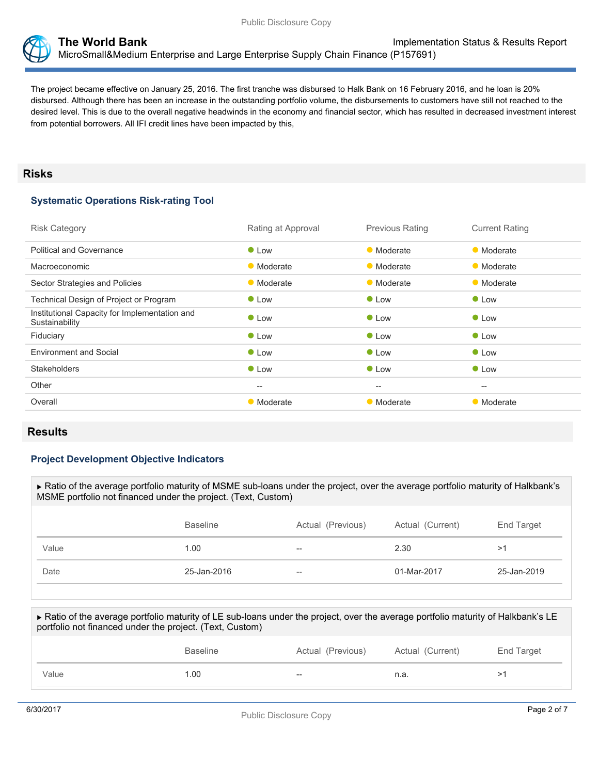

The project became effective on January 25, 2016. The first tranche was disbursed to Halk Bank on 16 February 2016, and he loan is 20% disbursed. Although there has been an increase in the outstanding portfolio volume, the disbursements to customers have still not reached to the desired level. This is due to the overall negative headwinds in the economy and financial sector, which has resulted in decreased investment interest from potential borrowers. All IFI credit lines have been impacted by this,

#### **Risks**

## **Systematic Operations Risk-rating Tool**

| <b>Risk Category</b>                                            | Rating at Approval                                  | <b>Previous Rating</b>                              | <b>Current Rating</b>                               |
|-----------------------------------------------------------------|-----------------------------------------------------|-----------------------------------------------------|-----------------------------------------------------|
| <b>Political and Governance</b>                                 | $\bullet$ Low                                       | • Moderate                                          | • Moderate                                          |
| Macroeconomic                                                   | • Moderate                                          | • Moderate                                          | • Moderate                                          |
| Sector Strategies and Policies                                  | • Moderate                                          | • Moderate                                          | • Moderate                                          |
| Technical Design of Project or Program                          | $\bullet$ Low                                       | $\bullet$ Low                                       | <b>C</b> Low                                        |
| Institutional Capacity for Implementation and<br>Sustainability | $\bullet$ Low                                       | $\bullet$ Low                                       | $\bullet$ Low                                       |
| Fiduciary                                                       | • Low                                               | $\bullet$ Low                                       | $\bullet$ Low                                       |
| <b>Environment and Social</b>                                   | $\bullet$ Low                                       | $\bullet$ Low                                       | $\bullet$ Low                                       |
| <b>Stakeholders</b>                                             | $\bullet$ Low                                       | $\bullet$ Low                                       | $\bullet$ Low                                       |
| Other                                                           | $\hspace{0.05cm} -\hspace{0.05cm} -\hspace{0.05cm}$ | $\hspace{0.05cm} -\hspace{0.05cm} -\hspace{0.05cm}$ | $\hspace{0.05cm} -\hspace{0.05cm} -\hspace{0.05cm}$ |
| Overall                                                         | • Moderate                                          | • Moderate                                          | • Moderate                                          |
|                                                                 |                                                     |                                                     |                                                     |

### **Results**

#### **Project Development Objective Indicators**

| ► Ratio of the average portfolio maturity of MSME sub-loans under the project, over the average portfolio maturity of Halkbank's<br>MSME portfolio not financed under the project. (Text, Custom) |                 |                   |                  |             |  |
|---------------------------------------------------------------------------------------------------------------------------------------------------------------------------------------------------|-----------------|-------------------|------------------|-------------|--|
|                                                                                                                                                                                                   |                 |                   |                  |             |  |
|                                                                                                                                                                                                   | <b>Baseline</b> | Actual (Previous) | Actual (Current) | End Target  |  |
| Value                                                                                                                                                                                             | 1.00            |                   | 2.30             | >1          |  |
| Date                                                                                                                                                                                              | 25-Jan-2016     |                   | 01-Mar-2017      | 25-Jan-2019 |  |
|                                                                                                                                                                                                   |                 |                   |                  |             |  |

 Ratio of the average portfolio maturity of LE sub-loans under the project, over the average portfolio maturity of Halkbank's LE portfolio not financed under the project. (Text, Custom) Baseline **Actual (Previous)** Actual (Current) End Target

Value 20 -- 1.00 -- 1.00 -- 1.00 -- 1.00 -- 1.00 -- 1.2.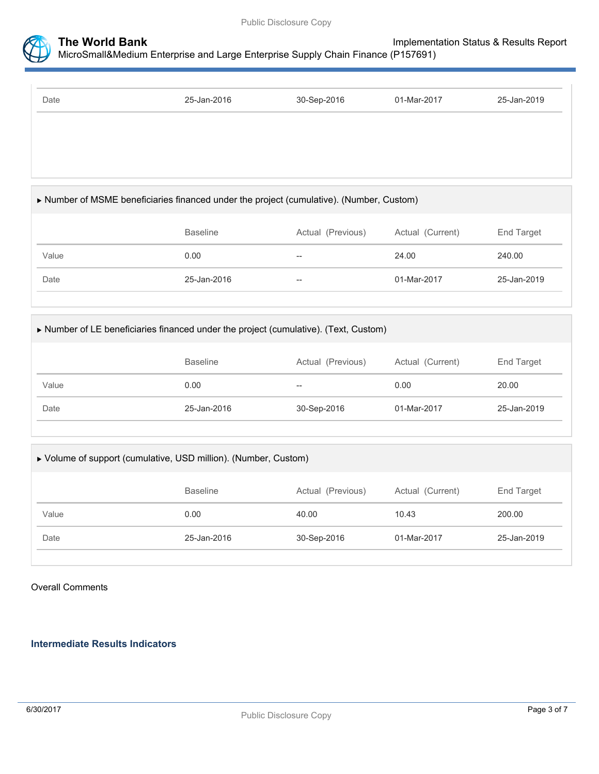

| 25-Jan-2016 | 30-Sep-2016 | 01-Mar-2017 | 25-Jan-2019 |
|-------------|-------------|-------------|-------------|
|             |             |             |             |
|             |             |             |             |
|             |             |             |             |
|             |             |             |             |
|             |             |             |             |
|             |             |             |             |
|             |             |             |             |

### Number of MSME beneficiaries financed under the project (cumulative). (Number, Custom)

|       | Baseline    | Actual (Previous)        | Actual (Current) | End Target  |
|-------|-------------|--------------------------|------------------|-------------|
| Value | 0.00        | $\overline{\phantom{m}}$ | 24.00            | 240.00      |
| Date  | 25-Jan-2016 | $\hspace{0.05cm}$        | 01-Mar-2017      | 25-Jan-2019 |

#### Number of LE beneficiaries financed under the project (cumulative). (Text, Custom)

|       | <b>Baseline</b> | Actual (Previous) | Actual (Current) | End Target  |
|-------|-----------------|-------------------|------------------|-------------|
| Value | 0.00            | $- -$             | 0.00             | 20.00       |
| Date  | 25-Jan-2016     | 30-Sep-2016       | 01-Mar-2017      | 25-Jan-2019 |

#### Volume of support (cumulative, USD million). (Number, Custom)

|       | <b>Baseline</b> | Actual (Previous) | Actual (Current) | End Target  |
|-------|-----------------|-------------------|------------------|-------------|
| Value | 0.00            | 40.00             | 10.43            | 200.00      |
| Date  | 25-Jan-2016     | 30-Sep-2016       | 01-Mar-2017      | 25-Jan-2019 |
|       |                 |                   |                  |             |

#### Overall Comments

#### **Intermediate Results Indicators**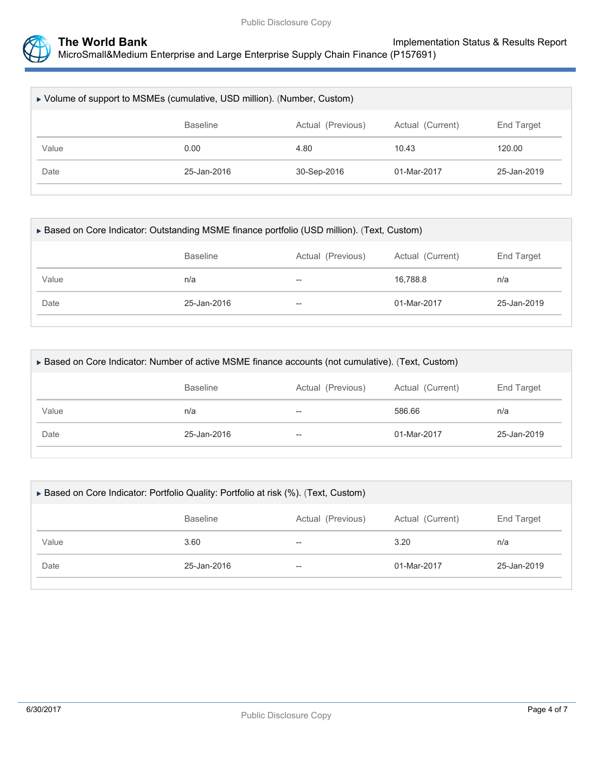

| ► Volume of support to MSMEs (cumulative, USD million). (Number, Custom) |                 |                   |                  |             |  |
|--------------------------------------------------------------------------|-----------------|-------------------|------------------|-------------|--|
|                                                                          | <b>Baseline</b> | Actual (Previous) | Actual (Current) | End Target  |  |
| Value                                                                    | 0.00            | 4.80              | 10.43            | 120.00      |  |
| Date                                                                     | 25-Jan-2016     | 30-Sep-2016       | 01-Mar-2017      | 25-Jan-2019 |  |

| ▶ Based on Core Indicator: Outstanding MSME finance portfolio (USD million). (Text, Custom) |             |       |             |             |  |  |
|---------------------------------------------------------------------------------------------|-------------|-------|-------------|-------------|--|--|
| <b>Baseline</b><br>Actual (Current)<br>End Target<br>Actual (Previous)                      |             |       |             |             |  |  |
| Value                                                                                       | n/a         | $- -$ | 16.788.8    | n/a         |  |  |
| Date                                                                                        | 25-Jan-2016 | $- -$ | 01-Mar-2017 | 25-Jan-2019 |  |  |
|                                                                                             |             |       |             |             |  |  |

| ► Based on Core Indicator: Number of active MSME finance accounts (not cumulative). (Text, Custom) |             |    |             |             |  |  |
|----------------------------------------------------------------------------------------------------|-------------|----|-------------|-------------|--|--|
| Actual (Current)<br><b>Baseline</b><br>Actual (Previous)<br>End Target                             |             |    |             |             |  |  |
| Value                                                                                              | n/a         | -- | 586.66      | n/a         |  |  |
| Date                                                                                               | 25-Jan-2016 | -- | 01-Mar-2017 | 25-Jan-2019 |  |  |
|                                                                                                    |             |    |             |             |  |  |

| ► Based on Core Indicator: Portfolio Quality: Portfolio at risk (%). (Text, Custom) |                 |                          |                  |             |  |
|-------------------------------------------------------------------------------------|-----------------|--------------------------|------------------|-------------|--|
|                                                                                     | <b>Baseline</b> | Actual (Previous)        | Actual (Current) | End Target  |  |
| Value                                                                               | 3.60            | $- -$                    | 3.20             | n/a         |  |
| Date                                                                                | 25-Jan-2016     | $\overline{\phantom{m}}$ | 01-Mar-2017      | 25-Jan-2019 |  |
|                                                                                     |                 |                          |                  |             |  |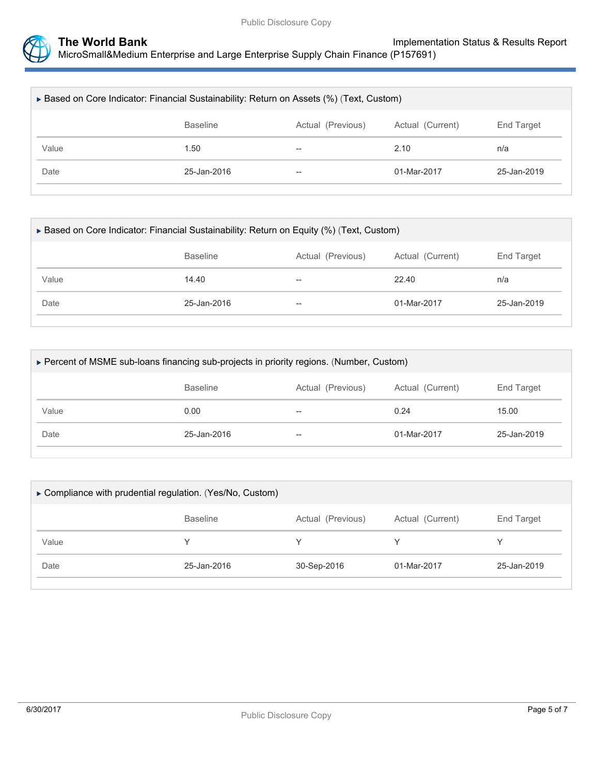

| ► Based on Core Indicator: Financial Sustainability: Return on Assets (%) (Text, Custom) |             |       |             |             |  |
|------------------------------------------------------------------------------------------|-------------|-------|-------------|-------------|--|
| <b>Baseline</b><br>Actual (Previous)<br>Actual (Current)<br>End Target                   |             |       |             |             |  |
| Value                                                                                    | 1.50        | $- -$ | 2.10        | n/a         |  |
| Date                                                                                     | 25-Jan-2016 | $-$   | 01-Mar-2017 | 25-Jan-2019 |  |
|                                                                                          |             |       |             |             |  |

| ► Based on Core Indicator: Financial Sustainability: Return on Equity (%) (Text, Custom) |       |             |             |  |  |  |
|------------------------------------------------------------------------------------------|-------|-------------|-------------|--|--|--|
| End Target<br>Actual (Current)<br><b>Baseline</b><br>Actual (Previous)                   |       |             |             |  |  |  |
| 14.40                                                                                    | --    | 22.40       | n/a         |  |  |  |
| 25-Jan-2016                                                                              | $- -$ | 01-Mar-2017 | 25-Jan-2019 |  |  |  |
|                                                                                          |       |             |             |  |  |  |

| ► Percent of MSME sub-loans financing sub-projects in priority regions. (Number, Custom) |                                                                        |       |             |             |  |  |  |
|------------------------------------------------------------------------------------------|------------------------------------------------------------------------|-------|-------------|-------------|--|--|--|
|                                                                                          | Actual (Current)<br>End Target<br>Actual (Previous)<br><b>Baseline</b> |       |             |             |  |  |  |
| Value                                                                                    | 0.00                                                                   | $- -$ | 0.24        | 15.00       |  |  |  |
| Date                                                                                     | 25-Jan-2016                                                            | $- -$ | 01-Mar-2017 | 25-Jan-2019 |  |  |  |
|                                                                                          |                                                                        |       |             |             |  |  |  |

| Compliance with prudential regulation. (Yes/No, Custom) |                                      |             |                  |             |  |  |
|---------------------------------------------------------|--------------------------------------|-------------|------------------|-------------|--|--|
|                                                         | <b>Baseline</b><br>Actual (Previous) |             | Actual (Current) | End Target  |  |  |
| Value                                                   |                                      |             |                  |             |  |  |
| Date                                                    | 25-Jan-2016                          | 30-Sep-2016 | 01-Mar-2017      | 25-Jan-2019 |  |  |
|                                                         |                                      |             |                  |             |  |  |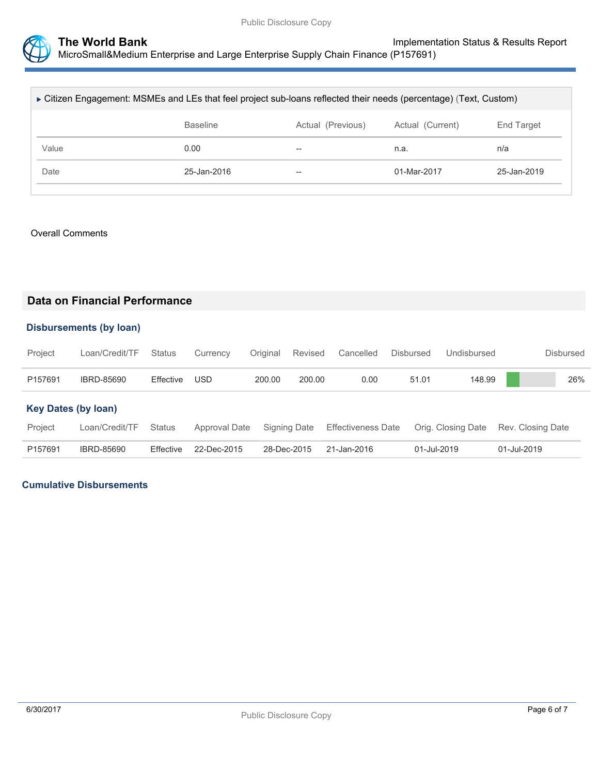

| ► Citizen Engagement: MSMEs and LEs that feel project sub-loans reflected their needs (percentage) (Text, Custom) |                 |                  |             |             |  |  |
|-------------------------------------------------------------------------------------------------------------------|-----------------|------------------|-------------|-------------|--|--|
|                                                                                                                   | <b>Baseline</b> | Actual (Current) | End Target  |             |  |  |
| Value                                                                                                             | 0.00            | $- -$            | n.a.        | n/a         |  |  |
| Date                                                                                                              | 25-Jan-2016     | $-$              | 01-Mar-2017 | 25-Jan-2019 |  |  |
|                                                                                                                   |                 |                  |             |             |  |  |

#### Overall Comments

### **Data on Financial Performance**

#### **Disbursements (by loan)**

| Project | Loan/Credit/TF Status |           | Currency Original Revised Cancelled |        |        |      | Disbursed | Undisbursed | Disbursed |
|---------|-----------------------|-----------|-------------------------------------|--------|--------|------|-----------|-------------|-----------|
| P157691 | IBRD-85690            | Effective | USD                                 | 200.00 | 200.00 | 0.00 | 51.01     | 148.99      | 26%       |

#### **Key Dates (by loan)**

| Project | Loan/Credit/TF Status |                       |                         | Approval Date Signing Date Effectiveness Date Orig. Closing Date Rev. Closing Date |             |             |
|---------|-----------------------|-----------------------|-------------------------|------------------------------------------------------------------------------------|-------------|-------------|
| P157691 | IBRD-85690            | Effective 22-Dec-2015 | 28-Dec-2015 21-Jan-2016 |                                                                                    | 01-Jul-2019 | 01-Jul-2019 |

### **Cumulative Disbursements**